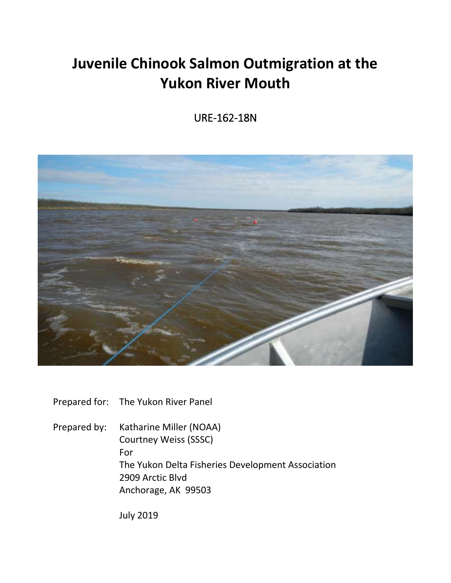# **Juvenile Chinook Salmon Outmigration at the Yukon River Mouth**

URE-162-18N



Prepared for: The Yukon River Panel

Prepared by: Katharine Miller (NOAA) Courtney Weiss (SSSC) For The Yukon Delta Fisheries Development Association 2909 Arctic Blvd Anchorage, AK 99503

July 2019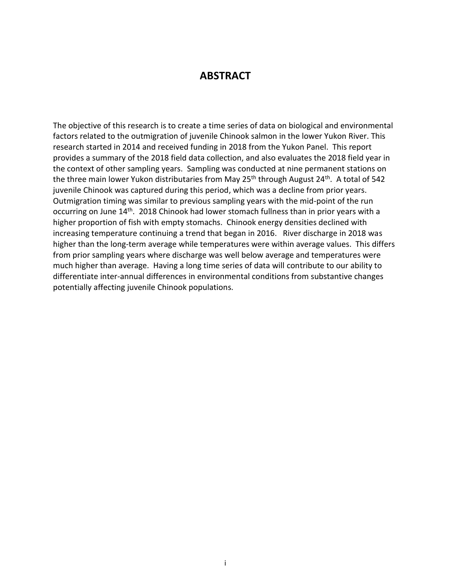### **ABSTRACT**

<span id="page-1-0"></span>The objective of this research is to create a time series of data on biological and environmental factors related to the outmigration of juvenile Chinook salmon in the lower Yukon River. This research started in 2014 and received funding in 2018 from the Yukon Panel. This report provides a summary of the 2018 field data collection, and also evaluates the 2018 field year in the context of other sampling years. Sampling was conducted at nine permanent stations on the three main lower Yukon distributaries from May 25<sup>th</sup> through August 24<sup>th</sup>. A total of 542 juvenile Chinook was captured during this period, which was a decline from prior years. Outmigration timing was similar to previous sampling years with the mid-point of the run occurring on June 14<sup>th</sup>. 2018 Chinook had lower stomach fullness than in prior years with a higher proportion of fish with empty stomachs. Chinook energy densities declined with increasing temperature continuing a trend that began in 2016. River discharge in 2018 was higher than the long-term average while temperatures were within average values. This differs from prior sampling years where discharge was well below average and temperatures were much higher than average. Having a long time series of data will contribute to our ability to differentiate inter-annual differences in environmental conditions from substantive changes potentially affecting juvenile Chinook populations.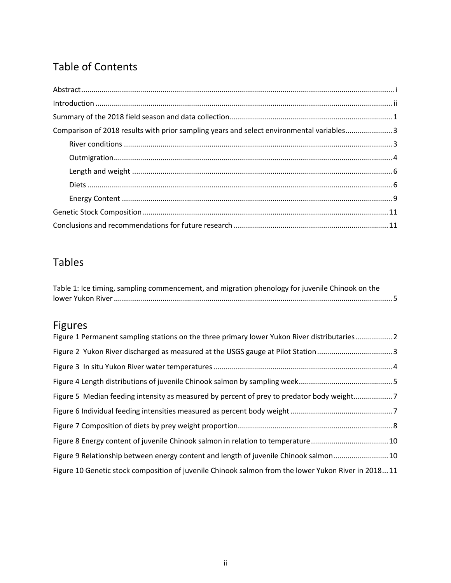# Table of Contents

| Comparison of 2018 results with prior sampling years and select environmental variables3 |
|------------------------------------------------------------------------------------------|
|                                                                                          |
|                                                                                          |
|                                                                                          |
|                                                                                          |
|                                                                                          |
|                                                                                          |
|                                                                                          |

# Tables

| Table 1: Ice timing, sampling commencement, and migration phenology for juvenile Chinook on the |  |
|-------------------------------------------------------------------------------------------------|--|
|                                                                                                 |  |

# Figures

<span id="page-2-0"></span>

| Figure 1 Permanent sampling stations on the three primary lower Yukon River distributaries 2        |
|-----------------------------------------------------------------------------------------------------|
|                                                                                                     |
|                                                                                                     |
|                                                                                                     |
| Figure 5 Median feeding intensity as measured by percent of prey to predator body weight7           |
|                                                                                                     |
|                                                                                                     |
| Figure 8 Energy content of juvenile Chinook salmon in relation to temperature10                     |
| Figure 9 Relationship between energy content and length of juvenile Chinook salmon 10               |
| Figure 10 Genetic stock composition of juvenile Chinook salmon from the lower Yukon River in 201811 |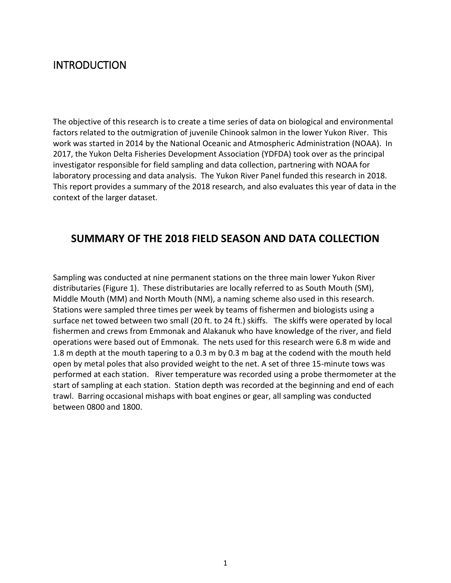# INTRODUCTION

The objective of this research is to create a time series of data on biological and environmental factors related to the outmigration of juvenile Chinook salmon in the lower Yukon River. This work was started in 2014 by the National Oceanic and Atmospheric Administration (NOAA). In 2017, the Yukon Delta Fisheries Development Association (YDFDA) took over as the principal investigator responsible for field sampling and data collection, partnering with NOAA for laboratory processing and data analysis. The Yukon River Panel funded this research in 2018. This report provides a summary of the 2018 research, and also evaluates this year of data in the context of the larger dataset.

### <span id="page-3-0"></span>**SUMMARY OF THE 2018 FIELD SEASON AND DATA COLLECTION**

Sampling was conducted at nine permanent stations on the three main lower Yukon River distributaries (Figure 1). These distributaries are locally referred to as South Mouth (SM), Middle Mouth (MM) and North Mouth (NM), a naming scheme also used in this research. Stations were sampled three times per week by teams of fishermen and biologists using a surface net towed between two small (20 ft. to 24 ft.) skiffs. The skiffs were operated by local fishermen and crews from Emmonak and Alakanuk who have knowledge of the river, and field operations were based out of Emmonak. The nets used for this research were 6.8 m wide and 1.8 m depth at the mouth tapering to a 0.3 m by 0.3 m bag at the codend with the mouth held open by metal poles that also provided weight to the net. A set of three 15-minute tows was performed at each station. River temperature was recorded using a probe thermometer at the start of sampling at each station. Station depth was recorded at the beginning and end of each trawl. Barring occasional mishaps with boat engines or gear, all sampling was conducted between 0800 and 1800.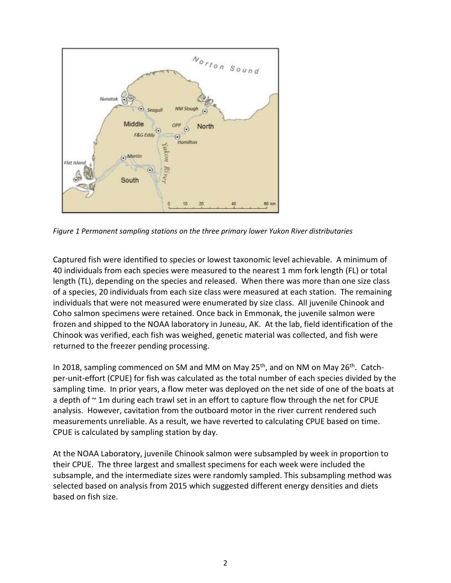

<span id="page-4-0"></span>*Figure 1 Permanent sampling stations on the three primary lower Yukon River distributaries*

Captured fish were identified to species or lowest taxonomic level achievable. A minimum of 40 individuals from each species were measured to the nearest 1 mm fork length (FL) or total length (TL), depending on the species and released. When there was more than one size class of a species, 20 individuals from each size class were measured at each station. The remaining individuals that were not measured were enumerated by size class. All juvenile Chinook and Coho salmon specimens were retained. Once back in Emmonak, the juvenile salmon were frozen and shipped to the NOAA laboratory in Juneau, AK. At the lab, field identification of the Chinook was verified, each fish was weighed, genetic material was collected, and fish were returned to the freezer pending processing.

In 2018, sampling commenced on SM and MM on May 25<sup>th</sup>, and on NM on May 26<sup>th</sup>. Catchper-unit-effort (CPUE) for fish was calculated as the total number of each species divided by the sampling time. In prior years, a flow meter was deployed on the net side of one of the boats at a depth of  $\sim$  1m during each trawl set in an effort to capture flow through the net for CPUE analysis. However, cavitation from the outboard motor in the river current rendered such measurements unreliable. As a result, we have reverted to calculating CPUE based on time. CPUE is calculated by sampling station by day.

At the NOAA Laboratory, juvenile Chinook salmon were subsampled by week in proportion to their CPUE. The three largest and smallest specimens for each week were included the subsample, and the intermediate sizes were randomly sampled. This subsampling method was selected based on analysis from 2015 which suggested different energy densities and diets based on fish size.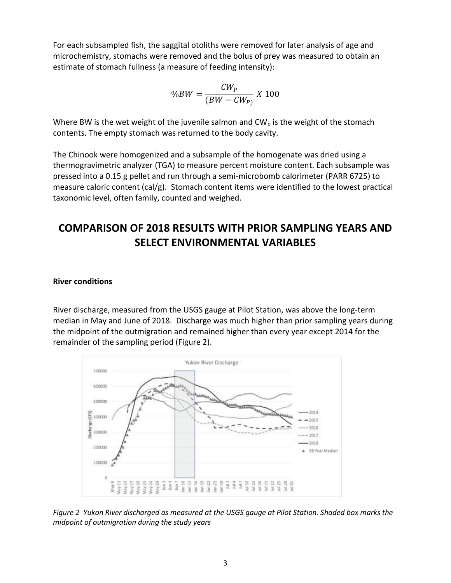For each subsampled fish, the saggital otoliths were removed for later analysis of age and microchemistry, stomachs were removed and the bolus of prey was measured to obtain an estimate of stomach fullness (a measure of feeding intensity):

$$
\%BW = \frac{CW_P}{(BW - CW_P)}\;X\;100
$$

Where BW is the wet weight of the juvenile salmon and  $CW_p$  is the weight of the stomach contents. The empty stomach was returned to the body cavity.

The Chinook were homogenized and a subsample of the homogenate was dried using a thermogravimetric analyzer (TGA) to measure percent moisture content. Each subsample was pressed into a 0.15 g pellet and run through a semi-microbomb calorimeter (PARR 6725) to measure caloric content (cal/g). Stomach content items were identified to the lowest practical taxonomic level, often family, counted and weighed.

# <span id="page-5-0"></span>**COMPARISON OF 2018 RESULTS WITH PRIOR SAMPLING YEARS AND SELECT ENVIRONMENTAL VARIABLES**

#### <span id="page-5-1"></span>**River conditions**

River discharge, measured from the USGS gauge at Pilot Station, was above the long-term median in May and June of 2018. Discharge was much higher than prior sampling years during the midpoint of the outmigration and remained higher than every year except 2014 for the remainder of the sampling period (Figure 2).



<span id="page-5-2"></span>*Figure 2 Yukon River discharged as measured at the USGS gauge at Pilot Station. Shaded box marks the midpoint of outmigration during the study years*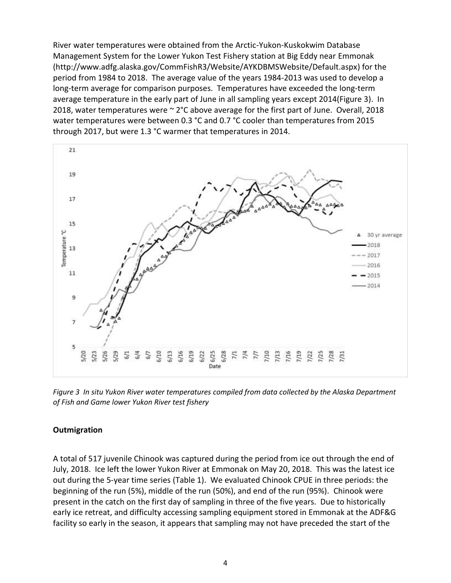River water temperatures were obtained from the Arctic-Yukon-Kuskokwim Database Management System for the Lower Yukon Test Fishery station at Big Eddy near Emmonak (http://www.adfg.alaska.gov/CommFishR3/Website/AYKDBMSWebsite/Default.aspx) for the period from 1984 to 2018. The average value of the years 1984-2013 was used to develop a long-term average for comparison purposes. Temperatures have exceeded the long-term average temperature in the early part of June in all sampling years except 2014(Figure 3). In 2018, water temperatures were ~ 2°C above average for the first part of June. Overall, 2018 water temperatures were between 0.3 °C and 0.7 °C cooler than temperatures from 2015 through 2017, but were 1.3 °C warmer that temperatures in 2014.



<span id="page-6-1"></span>*Figure 3 In situ Yukon River water temperatures compiled from data collected by the Alaska Department of Fish and Game lower Yukon River test fishery*

#### <span id="page-6-0"></span>**Outmigration**

A total of 517 juvenile Chinook was captured during the period from ice out through the end of July, 2018. Ice left the lower Yukon River at Emmonak on May 20, 2018. This was the latest ice out during the 5-year time series (Table 1). We evaluated Chinook CPUE in three periods: the beginning of the run (5%), middle of the run (50%), and end of the run (95%). Chinook were present in the catch on the first day of sampling in three of the five years. Due to historically early ice retreat, and difficulty accessing sampling equipment stored in Emmonak at the ADF&G facility so early in the season, it appears that sampling may not have preceded the start of the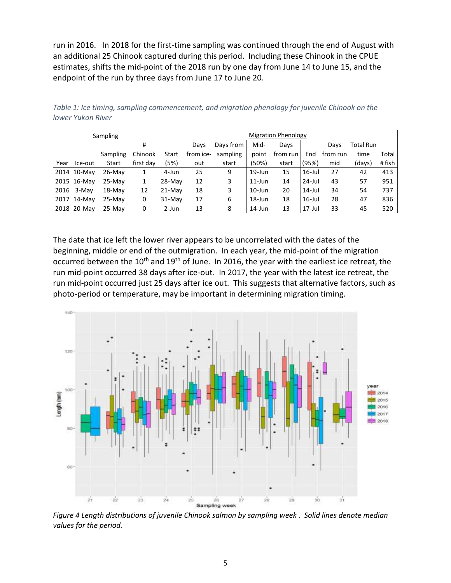run in 2016. In 2018 for the first-time sampling was continued through the end of August with an additional 25 Chinook captured during this period. Including these Chinook in the CPUE estimates, shifts the mid-point of the 2018 run by one day from June 14 to June 15, and the endpoint of the run by three days from June 17 to June 20.

| Total Run<br>time<br>Total<br># fish<br>(days) |
|------------------------------------------------|
|                                                |
|                                                |
|                                                |
| 413                                            |
| 951                                            |
| 737                                            |
| 836                                            |
| 520                                            |
|                                                |
|                                                |

<span id="page-7-0"></span>*Table 1: Ice timing, sampling commencement, and migration phenology for juvenile Chinook on the lower Yukon River*

The date that ice left the lower river appears to be uncorrelated with the dates of the beginning, middle or end of the outmigration. In each year, the mid-point of the migration occurred between the  $10<sup>th</sup>$  and  $19<sup>th</sup>$  of June. In 2016, the year with the earliest ice retreat, the run mid-point occurred 38 days after ice-out. In 2017, the year with the latest ice retreat, the run mid-point occurred just 25 days after ice out. This suggests that alternative factors, such as photo-period or temperature, may be important in determining migration timing.



<span id="page-7-1"></span>*Figure 4 Length distributions of juvenile Chinook salmon by sampling week . Solid lines denote median values for the period.*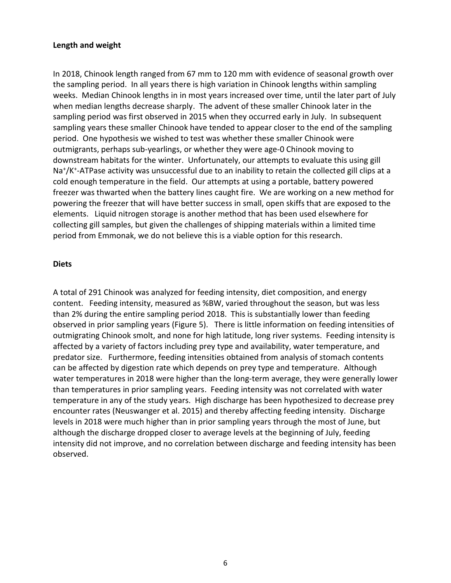#### <span id="page-8-0"></span>**Length and weight**

In 2018, Chinook length ranged from 67 mm to 120 mm with evidence of seasonal growth over the sampling period. In all years there is high variation in Chinook lengths within sampling weeks. Median Chinook lengths in in most years increased over time, until the later part of July when median lengths decrease sharply. The advent of these smaller Chinook later in the sampling period was first observed in 2015 when they occurred early in July. In subsequent sampling years these smaller Chinook have tended to appear closer to the end of the sampling period. One hypothesis we wished to test was whether these smaller Chinook were outmigrants, perhaps sub-yearlings, or whether they were age-0 Chinook moving to downstream habitats for the winter. Unfortunately, our attempts to evaluate this using gill Na<sup>+</sup>/K<sup>+</sup>-ATPase activity was unsuccessful due to an inability to retain the collected gill clips at a cold enough temperature in the field. Our attempts at using a portable, battery powered freezer was thwarted when the battery lines caught fire. We are working on a new method for powering the freezer that will have better success in small, open skiffs that are exposed to the elements. Liquid nitrogen storage is another method that has been used elsewhere for collecting gill samples, but given the challenges of shipping materials within a limited time period from Emmonak, we do not believe this is a viable option for this research.

#### <span id="page-8-1"></span>**Diets**

A total of 291 Chinook was analyzed for feeding intensity, diet composition, and energy content. Feeding intensity, measured as %BW, varied throughout the season, but was less than 2% during the entire sampling period 2018. This is substantially lower than feeding observed in prior sampling years (Figure 5). There is little information on feeding intensities of outmigrating Chinook smolt, and none for high latitude, long river systems. Feeding intensity is affected by a variety of factors including prey type and availability, water temperature, and predator size. Furthermore, feeding intensities obtained from analysis of stomach contents can be affected by digestion rate which depends on prey type and temperature. Although water temperatures in 2018 were higher than the long-term average, they were generally lower than temperatures in prior sampling years. Feeding intensity was not correlated with water temperature in any of the study years. High discharge has been hypothesized to decrease prey encounter rates (Neuswanger et al. 2015) and thereby affecting feeding intensity. Discharge levels in 2018 were much higher than in prior sampling years through the most of June, but although the discharge dropped closer to average levels at the beginning of July, feeding intensity did not improve, and no correlation between discharge and feeding intensity has been observed.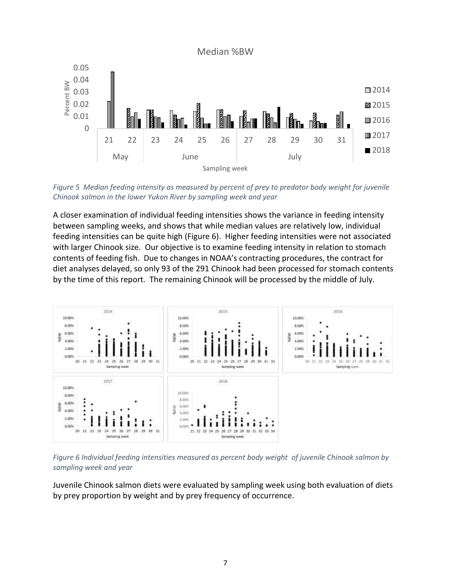Median %BW



<span id="page-9-0"></span>*Figure 5 Median feeding intensity as measured by percent of prey to predator body weight for juvenile Chinook salmon in the lower Yukon River by sampling week and year*

A closer examination of individual feeding intensities shows the variance in feeding intensity between sampling weeks, and shows that while median values are relatively low, individual feeding intensities can be quite high (Figure 6). Higher feeding intensities were not associated with larger Chinook size. Our objective is to examine feeding intensity in relation to stomach contents of feeding fish. Due to changes in NOAA's contracting procedures, the contract for diet analyses delayed, so only 93 of the 291 Chinook had been processed for stomach contents by the time of this report. The remaining Chinook will be processed by the middle of July.



<span id="page-9-1"></span>*Figure 6 Individual feeding intensities measured as percent body weight of juvenile Chinook salmon by sampling week and year*

Juvenile Chinook salmon diets were evaluated by sampling week using both evaluation of diets by prey proportion by weight and by prey frequency of occurrence.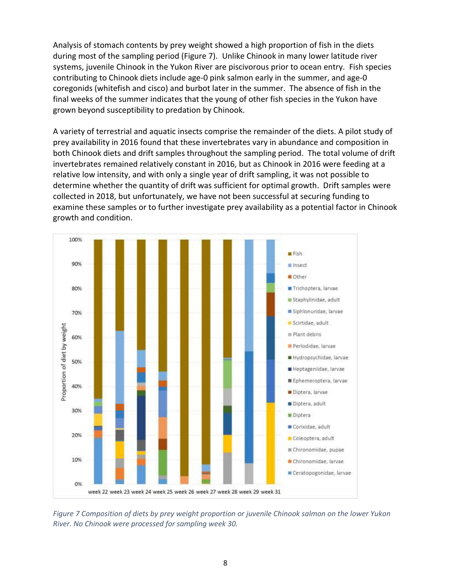Analysis of stomach contents by prey weight showed a high proportion of fish in the diets during most of the sampling period (Figure 7). Unlike Chinook in many lower latitude river systems, juvenile Chinook in the Yukon River are piscivorous prior to ocean entry. Fish species contributing to Chinook diets include age-0 pink salmon early in the summer, and age-0 coregonids (whitefish and cisco) and burbot later in the summer. The absence of fish in the final weeks of the summer indicates that the young of other fish species in the Yukon have grown beyond susceptibility to predation by Chinook.

A variety of terrestrial and aquatic insects comprise the remainder of the diets. A pilot study of prey availability in 2016 found that these invertebrates vary in abundance and composition in both Chinook diets and drift samples throughout the sampling period. The total volume of drift invertebrates remained relatively constant in 2016, but as Chinook in 2016 were feeding at a relative low intensity, and with only a single year of drift sampling, it was not possible to determine whether the quantity of drift was sufficient for optimal growth. Drift samples were collected in 2018, but unfortunately, we have not been successful at securing funding to examine these samples or to further investigate prey availability as a potential factor in Chinook growth and condition.



<span id="page-10-0"></span>*Figure 7 Composition of diets by prey weight proportion or juvenile Chinook salmon on the lower Yukon River. No Chinook were processed for sampling week 30.*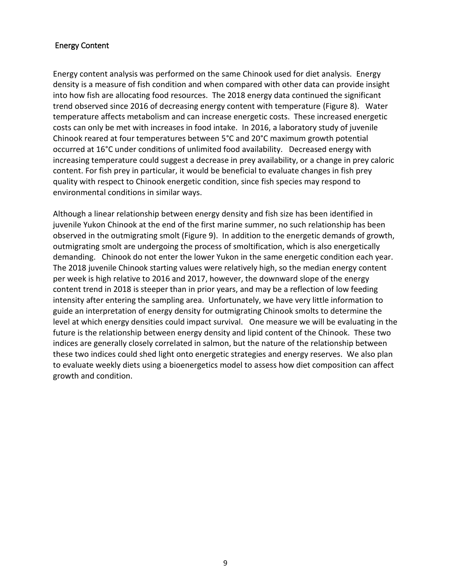#### <span id="page-11-0"></span>Energy Content

Energy content analysis was performed on the same Chinook used for diet analysis. Energy density is a measure of fish condition and when compared with other data can provide insight into how fish are allocating food resources. The 2018 energy data continued the significant trend observed since 2016 of decreasing energy content with temperature (Figure 8). Water temperature affects metabolism and can increase energetic costs. These increased energetic costs can only be met with increases in food intake. In 2016, a laboratory study of juvenile Chinook reared at four temperatures between 5°C and 20°C maximum growth potential occurred at 16°C under conditions of unlimited food availability. Decreased energy with increasing temperature could suggest a decrease in prey availability, or a change in prey caloric content. For fish prey in particular, it would be beneficial to evaluate changes in fish prey quality with respect to Chinook energetic condition, since fish species may respond to environmental conditions in similar ways.

Although a linear relationship between energy density and fish size has been identified in juvenile Yukon Chinook at the end of the first marine summer, no such relationship has been observed in the outmigrating smolt (Figure 9). In addition to the energetic demands of growth, outmigrating smolt are undergoing the process of smoltification, which is also energetically demanding. Chinook do not enter the lower Yukon in the same energetic condition each year. The 2018 juvenile Chinook starting values were relatively high, so the median energy content per week is high relative to 2016 and 2017, however, the downward slope of the energy content trend in 2018 is steeper than in prior years, and may be a reflection of low feeding intensity after entering the sampling area. Unfortunately, we have very little information to guide an interpretation of energy density for outmigrating Chinook smolts to determine the level at which energy densities could impact survival. One measure we will be evaluating in the future is the relationship between energy density and lipid content of the Chinook. These two indices are generally closely correlated in salmon, but the nature of the relationship between these two indices could shed light onto energetic strategies and energy reserves. We also plan to evaluate weekly diets using a bioenergetics model to assess how diet composition can affect growth and condition.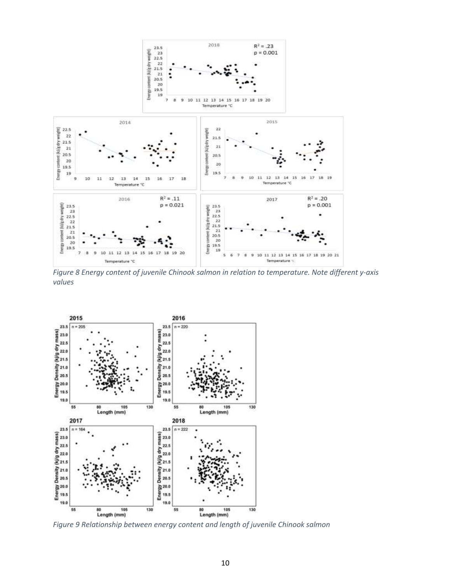

<span id="page-12-0"></span>*Figure 8 Energy content of juvenile Chinook salmon in relation to temperature. Note different y-axis values*



<span id="page-12-1"></span>*Figure 9 Relationship between energy content and length of juvenile Chinook salmon*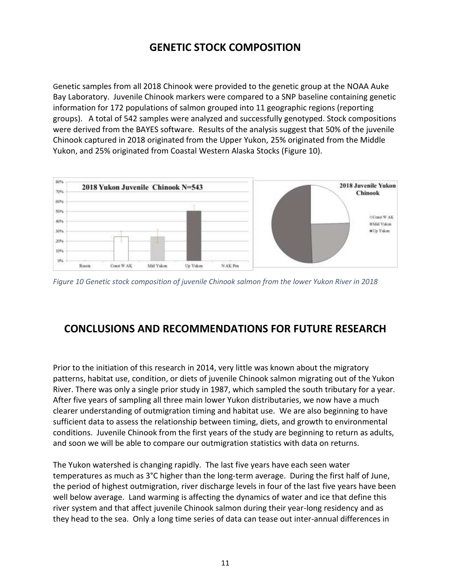## **GENETIC STOCK COMPOSITION**

<span id="page-13-0"></span>Genetic samples from all 2018 Chinook were provided to the genetic group at the NOAA Auke Bay Laboratory. Juvenile Chinook markers were compared to a SNP baseline containing genetic information for 172 populations of salmon grouped into 11 geographic regions (reporting groups). A total of 542 samples were analyzed and successfully genotyped. Stock compositions were derived from the BAYES software. Results of the analysis suggest that 50% of the juvenile Chinook captured in 2018 originated from the Upper Yukon, 25% originated from the Middle Yukon, and 25% originated from Coastal Western Alaska Stocks (Figure 10).



<span id="page-13-2"></span>*Figure 10 Genetic stock composition of juvenile Chinook salmon from the lower Yukon River in 2018*

## <span id="page-13-1"></span>**CONCLUSIONS AND RECOMMENDATIONS FOR FUTURE RESEARCH**

Prior to the initiation of this research in 2014, very little was known about the migratory patterns, habitat use, condition, or diets of juvenile Chinook salmon migrating out of the Yukon River. There was only a single prior study in 1987, which sampled the south tributary for a year. After five years of sampling all three main lower Yukon distributaries, we now have a much clearer understanding of outmigration timing and habitat use. We are also beginning to have sufficient data to assess the relationship between timing, diets, and growth to environmental conditions. Juvenile Chinook from the first years of the study are beginning to return as adults, and soon we will be able to compare our outmigration statistics with data on returns.

The Yukon watershed is changing rapidly. The last five years have each seen water temperatures as much as 3°C higher than the long-term average. During the first half of June, the period of highest outmigration, river discharge levels in four of the last five years have been well below average. Land warming is affecting the dynamics of water and ice that define this river system and that affect juvenile Chinook salmon during their year-long residency and as they head to the sea. Only a long time series of data can tease out inter-annual differences in